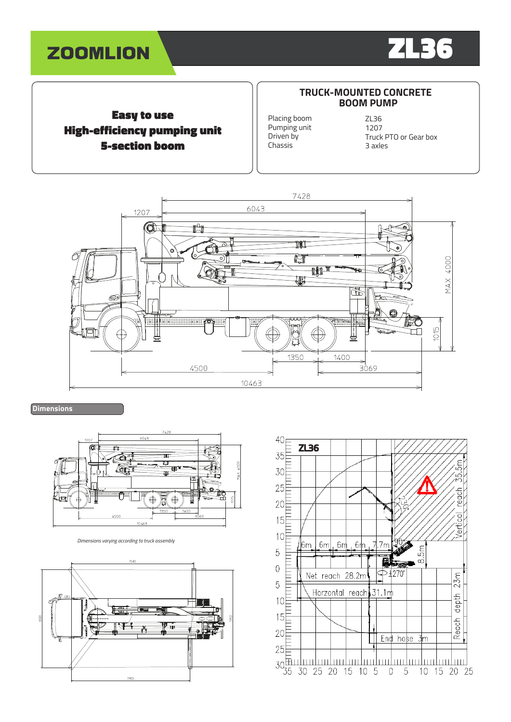



## Easy to use High-efficiency pumping unit 5-section boom

#### **TRUCK-MOUNTED CONCRETE BOOM PUMP**

Placing boom Pumping unit Driven by Chassis

ZL36 1207 Truck PTO or Gear box 3 axles



**Dimensions**



*Dimensions varying according to truck assembly*